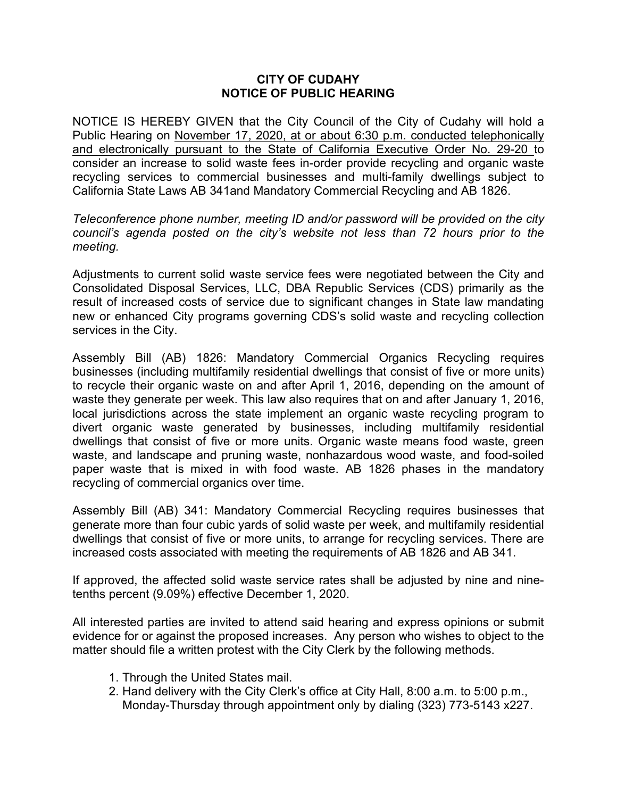## **CITY OF CUDAHY NOTICE OF PUBLIC HEARING**

NOTICE IS HEREBY GIVEN that the City Council of the City of Cudahy will hold a Public Hearing on November 17, 2020, at or about 6:30 p.m. conducted telephonically and electronically pursuant to the State of California Executive Order No. 29-20 to consider an increase to solid waste fees in-order provide recycling and organic waste recycling services to commercial businesses and multi-family dwellings subject to California State Laws AB 341and Mandatory Commercial Recycling and AB 1826.

*Teleconference phone number, meeting ID and/or password will be provided on the city council's agenda posted on the city's website not less than 72 hours prior to the meeting.*

Adjustments to current solid waste service fees were negotiated between the City and Consolidated Disposal Services, LLC, DBA Republic Services (CDS) primarily as the result of increased costs of service due to significant changes in State law mandating new or enhanced City programs governing CDS's solid waste and recycling collection services in the City.

Assembly Bill (AB) 1826: Mandatory Commercial Organics Recycling requires businesses (including multifamily residential dwellings that consist of five or more units) to recycle their organic waste on and after April 1, 2016, depending on the amount of waste they generate per week. This law also requires that on and after January 1, 2016, local jurisdictions across the state implement an organic waste recycling program to divert organic waste generated by businesses, including multifamily residential dwellings that consist of five or more units. Organic waste means food waste, green waste, and landscape and pruning waste, nonhazardous wood waste, and food-soiled paper waste that is mixed in with food waste. AB 1826 phases in the mandatory recycling of commercial organics over time.

Assembly Bill (AB) 341: Mandatory Commercial Recycling requires businesses that generate more than four cubic yards of solid waste per week, and multifamily residential dwellings that consist of five or more units, to arrange for recycling services. There are increased costs associated with meeting the requirements of AB 1826 and AB 341.

If approved, the affected solid waste service rates shall be adjusted by nine and ninetenths percent (9.09%) effective December 1, 2020.

All interested parties are invited to attend said hearing and express opinions or submit evidence for or against the proposed increases. Any person who wishes to object to the matter should file a written protest with the City Clerk by the following methods.

- 1. Through the United States mail.
- 2. Hand delivery with the City Clerk's office at City Hall, 8:00 a.m. to 5:00 p.m., Monday-Thursday through appointment only by dialing (323) 773-5143 x227.